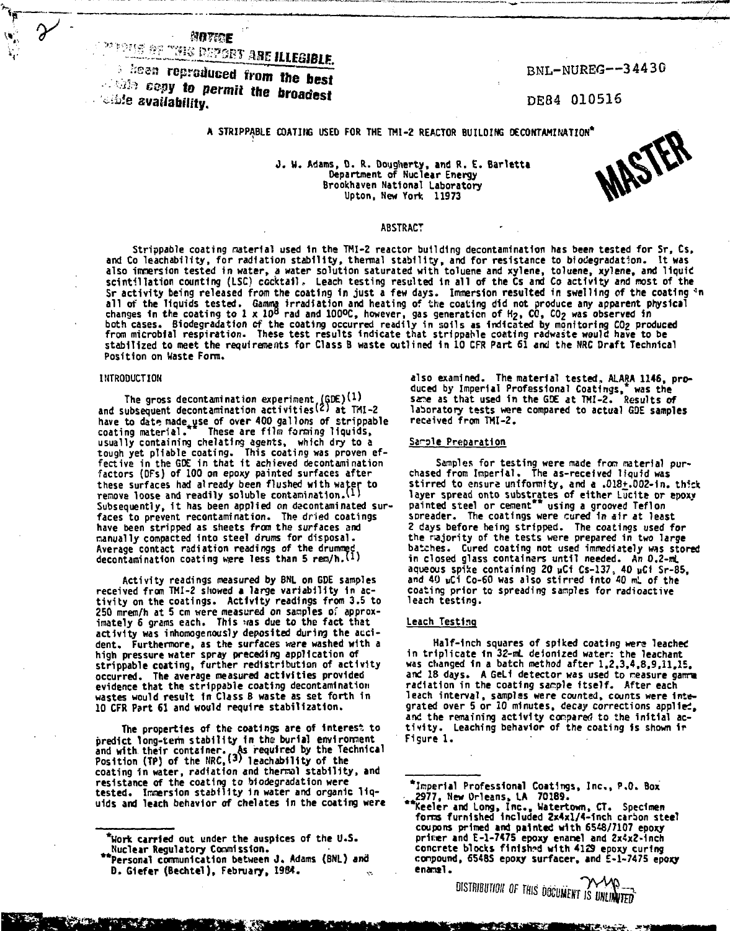MATERE

# **PERIODE DE L'AUGUST DE L'EGIBLE.**

the community of the statement. *Compounded from the best*<br>Copy to permit the broadest  $\sim$  is availability.

BNL-NUREG—34430

DE84 010516

## **A STRIPPABLE COATING USED FOR THE THI-2 REACTOR BUILDING DECONTAMINATION\***

**<sup>J</sup> . U. Adams, D. R. Dougherty, and R. E. Barletta Department of Nuclear Energy Brookhaven National Laboratory Upton, New York 11973**

**MASTER** 

#### **ABSTRACT**

Strippable coating material used in the TMI-2 reactor building decontamination has been tested for Sr, Cs,<br>and Co leachability, for radiation stability, thermal stability, and for resistance to biodegradation. It was also immersion tested in water, a water solution saturated with toluene and xylene, toluene, xylene, and liquid<br>scintillation counting (LSC) cocktail. Leach testing resulted in all of the Cs and Co activity and most of th **Sr activity being released from the coating 1n just a few days. Immersion resulted in swelling of the coating \*** all of the liquids tested. Gamma irradiation and heating of the coating did not produce any apparent physical<br>changes in the coating to 1 x 10<sup>8</sup> rad and 100ºC, however, gas generation of H<sub>2</sub>, CO, CO<sub>2</sub> was observed in both cases. Biodegradation of the coating occurred readily in soils as indicated by monitoring CO<sub>2</sub> produced<br>from microbial respiration. These test results indicate that strippahle coating radwaste would have to be **stabilized to meet the requirements for Class B waste outlined in 10 CFR Part 61 and the NRC Draft Technical Position on Waste Form.**

#### **INTRODUCTION**

**The gross decontamination experiment (GDEjU) and subsequent decontamination activities^' ' at TMI-2** have to date made use of over 400 gallons of strippable<br>coating material. These are film forming liquids. **coating material. These are film forraing liquids, usually containing chelating agents, which dry to a tough yet pliable coating. This coating was proven ef-fective in the GDE in that it achieved decontamination factors (DFs) of 100 on epoxy painted surfaces after these surfaces had already been flushed with water to remove loose and readily soluble contamination.U)** Subsequently, it has been applied on decontaminated sur**faces to prevent recontami nation. The dried coatings have been stripped as sheets from the surfaces and manually compacted into steel drums for disposal. Average contact radiation readings of the drummed decontamination coating wiere less than 5 ren/h.vl)**

**Activity readings measured by BNL on GDE samples received from TMI-2 showed a large variability in activit y on the coatings. Activity readings from 3.5 to 250 mrem/h at 5 cm were measured on samples of approximately 6 grams each. This was due to the fact that activity was inhomogenously deposited during the accident. Furthermore, as the surfaces were washed with a high pressure water spray preceding application of strippable coating, further redistribution of activity occurred. The average measured activities provided evidence that the strippable coating decontamination wastes would result In Class B waste as set forth in 10 CFR Part 61 and would require stabilization.**

**The properties of the coatings are of interest to predict long-term stability In the burial environment and with their container.. As required by the Technical Position (TP) of the NRC,(<sup>3</sup> > leachability of the coating in water, radiation and thermal stability , and** resistance of the coating to biodegradation were<br>tested. Immersion stability in water and organic liq**uids and leach behavior of chelates in the coating were**

25. T

**also examined. The material tested, ALARA 1146, produced by Imperial Professional Coatings,\* was the sane as that used in the GX at TMI-2. Results of laboratory tests were compared to actual GDE samples received from THI-2.**

#### **Sarale Preparation**

**Samples for testing were made front material pur-chased from Imperial. The as-received liquid was stirred to ensure uniformity, and a .018+.0D2-in. thick layer spread onto substrates of either Lucite or epoxy painted steel or cement\*\* using a grooved Teflon sDreader. The coatings were cured in air at least 2 days before being stripped. The coatings used for the najority of the tests were prepared in two large batches. Cured coating not used immediately WAS stored** in closed glass containers until needed. An 0.2-ml **aqueous spike containing 20 vCi Cs-137, 40 uCI Sr-85, and 40 uCi Co-60 was also stirred into 40 mL of the coating prior to spreading samples for radioactive leach testing.**

#### **Leach Testing**

**Half-inch squares of spiked coating were leached in triplicate in 32-mL deformed water: the leachant was changed in a batch method after 1.2,3,4,8,9,11,15,** and 18 days. A GeLi detector was used to neasure gamme **radiation in the coating sample itself. After each leach interval, samples were counted, counts were inte**grated over 5 or 10 minutes, decay corrections applied, **and the remaining activity compared to ihe initia l ac-tivity . Leaching behavior of the coating is shown ir Figure 1 .**

**DISTRIBUTION OF THIS DOCUMENT IS UNLIMITED** 

**WENGALT UNITS IN** 

**<sup>\*</sup>Uork carried out under the auspices of the U.S. Nuclear Regulatory Commission.**

**Personal communication between J . Adams (BNL) and D. Giefer (Bechtel), February, 19S4.**

**<sup>\*</sup>Irper1»l Professional Coatings, Inc. , P.O. Box 2977, New Orleans, LA 70189.**

**Keeler and Long, Inc. , Watertown, CT. Specimen fores furnished Included 2x4xl/4-1nch carbon steel coupons primed and painted with 6548/7107 epoxy**<br>primer and E-1-7475 epoxy enamel and 2x4x2-inch<br>concrete blocks finished with 4129 epoxy curing **compound, 6548S epoxy surfacer, and £-1-7475 epoxy enaral.**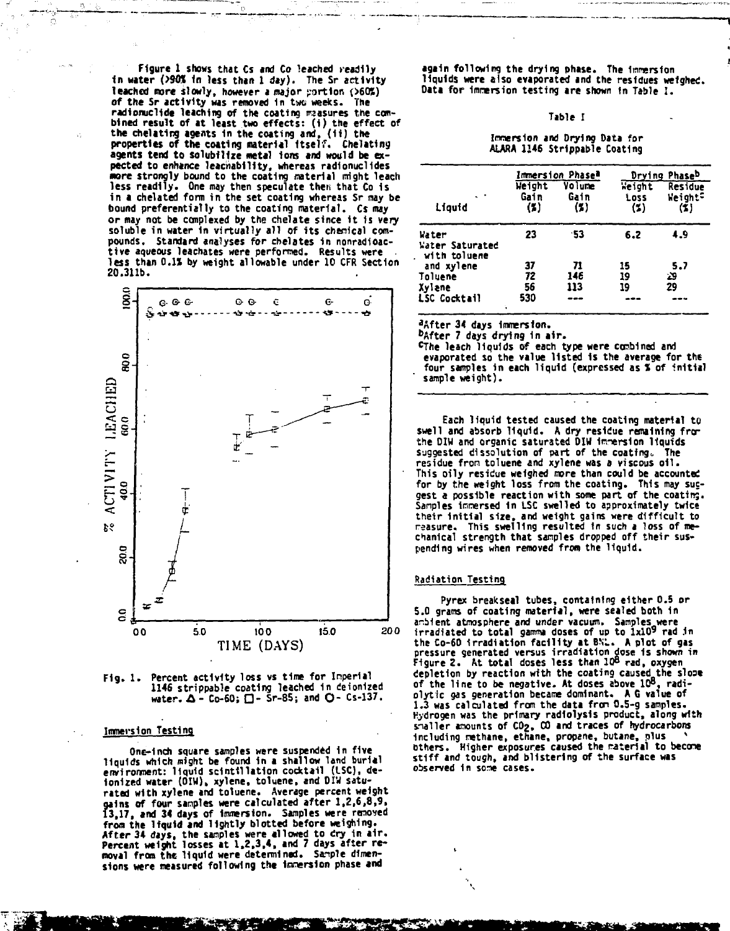**Figure 1 shows that Cs and Co leached readily in water (>9W In less than 1 day). The Sr activity** leached more slowly, however a major portion (>60%) **of the Sr activity was removed in two weeks. The radionuclidc leaching of the coating measures the com-bined result of at least two effects: (i ) the effect of the chelating agents in the coating and, (1i) the properties of the coating material Itself. Chelating agents tend to soiubilize metal ions and would be expected to enhance leacnability, whereas radionuclides •ore strongly bound to the coating material might leach less readily. One nay then speculate then that Co is in a chela ted form in the set coating whereas Sr nay be bound preferentially to the coating material. Cs may or may not be cduplexed by the chelate since i t Is very soluble in water in virtually all of its chenical compounds. Standard analyses for chelates in nonradioactive aqueous leachates were performed. Results were • less than 0.1J by weight allowable under 10 CFR Section 20.311b.**





# **Immersion Testing**

**One-inch square samples were suspended in five liquids which might be found in a shallow land burial enviroment: liquid scintillation cocktail (ISC), de-ionized water (DIU), xylene, toluene, and OIW saturated with xylene and toluene. Average percent weight gains Of four samples were calculated after 1,2,6,8,9, 13,17, and 34 days of Immersion. Samples were removed from the liquid and lightly blotted before weighing. After 34 days, the samples were allowed to dry in air. Percent weight losses at 1.2.3,4, and 7 days after re**moval from the liquid were determined. Sample dimensions were measured following the innersion phase and

**again following the drying phase. The Inversion liquids were also evaporated and the residues weighed. Data for immersion testing are shown In Table ! .**

#### **Table I**

#### **Immersion and Drying Data for** ALARA 1146 Strippable Coating

|                                          |                       | Immersion Phasea      | Drying Phase <sup>b</sup> |                                              |  |
|------------------------------------------|-----------------------|-----------------------|---------------------------|----------------------------------------------|--|
| . .<br>Liquid                            | Weight<br>Gain<br>(%) | Volume<br>Gain<br>(2) | Weight<br>Loss<br>(2)     | <b>Residue</b><br>Weight <sup>c</sup><br>(X) |  |
| Water<br>Water Saturated<br>with toluene | 23                    | -53                   | 6.2                       | 4.9                                          |  |
| and xylene                               | 37                    | 71                    | 15                        | 5.7                                          |  |
| Toluene                                  | 72                    | 146                   | 19                        | ون                                           |  |
| Xylane                                   | 56                    | 113                   | 19                        | 29                                           |  |
| LSC Cocktail<br>¥                        | 530                   |                       |                           |                                              |  |

**<sup>a</sup>After 34 days immersion.**

**<sup>b</sup>After 7 days drying 1n air.**

**CThe leach liquids of each type were combined and evaporated so the value listed is the average for the evaporated so the value listed 1s the average for the four samples in each liquid (expressed as % of initial sample weight).**

**Each liquid tested caused the coating material to swell and absorb liquid. A dry residue remaining fror the DIH and organic saturated DIW inversion liquids suggested dissolution of part of the coating,, The residue fron toluene and xylene was a viscous oil . This oily residue weighed nore than could be accounted for by the weight loss from the coating. This may sucgest a possible reaction with some part of the coating. Samples immersed in LSC swelled to approximately twice their initia l size, and weight gains were difficult to reasure. This swelling resulted in such a loss of mechanical strength that samples dropped off their suspending wires when removed fron the liquid.**

## **Radiation Testing**

**Pyrex breakseal tubes, containing either 0.5 or 5.0 grams of coating material, were sealed both in** ambient atmosphere and under vacuum. Samples were<br>irradiated to total gamma doses of up to 1x10<sup>9</sup> rad in the Co-60 irradiation facility at BNL. A plot of gas<br>pressure generated versus irradiation dose is shown in<br>Figure 2. At total doses less than 10<sup>8</sup> rad, oxygen **depletion by reaction with the coating caused the sloae of the line to be negative. At doses above 10<sup>s</sup> , radiolytic gas generation became dominant. A G value of 1.3 was calculated from the data fron 0.5-g samples. Hydrogen was the primary radioiysis product, along with snailer amounts of COj, CO and traces of hydrocarbons s including nethane, ethane, propane, butane, plus others. Higher exposures caused the raterial to become stiff and tough, and blistering of the surface was observed in sone cases.**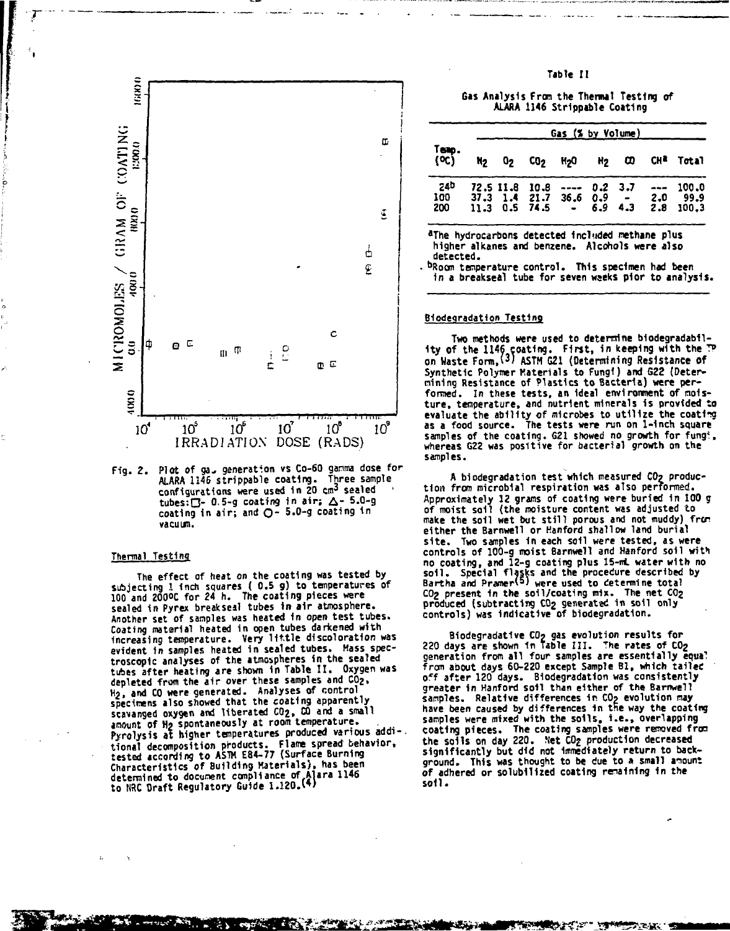

Fig. 2. Plot of ga. generation vs Co-60 gamma dose for ALARA 1146 strippable coating. Three sample configurations were used in 20 cm<sup>3</sup> sealed tubes: $\square$ - 0.5-g coating in air;  $\triangle$ - 5.0-g coating in air; and  $O - 5.0 - g$  coating in vacuum.

#### Thermal Testing

The effect of heat on the coating was tested by subjecting I inch squares (0.5 g) to temperatures of 100 and 2000C for 24 h. The coating pieces were sealed in Pyrex breakseal tubes in air atmosphere. Another set of samples was heated in open test tubes. Coating material heated in open tubes darkened with<br>increasing temperature. Very little discoloration was evident in samples heated in sealed tubes. Mass spectroscopic analyses of the atmospheres in the sealed tubes after heating are shown in Table II. Oxygen was depleted from the air over these samples and CO2. H<sub>2</sub>, and CO were generated. Analyses of control<br>specimens also showed that the coating apparently spectrum as a common the stated CO<sub>2</sub>, CO and a small<br>amount of H<sub>2</sub> spontaneously at room temperature.<br>Pyrolysis at higher temperatures produced various additional decomposition products. Flame spread behavior,<br>tested according to ASTM E84-77 (Surface Burning Characteristics of Building Materials), has been determined to document compliance of Alara 1146<br>to NRC Draft Regulatory Guide 1.120.(4)

Table II

Gas Analysis From the Thermal Testing of ALARA 1146 Strippable Coating

|                   |    |                                                                                       | Gas (% by Volume)           |  |     |                                 |
|-------------------|----|---------------------------------------------------------------------------------------|-----------------------------|--|-----|---------------------------------|
| Temp.<br>(OC)     | N2 | 02 CO2 H2O H2 CO                                                                      |                             |  |     | CH <sup>2</sup> Total           |
| 240<br>100<br>200 |    | 72.5 11.8 10.8<br>$37.3$ 1.4 21.7 36.6 0.9 - 2.0<br>$11.3 \t0.5 \t74.5 \t- 6.9 \t4.3$ | $\rightarrow - - - 0.2 3.7$ |  | 2.8 | $--- 100.0$<br>-99.9<br>- 100.3 |

aThe hydrocarbons detected included methane plus higher alkanes and benzene. Alcohols were also detected.

bRoom temperature control. This specimen had been in a breakseal tube for seven weeks pior to analysis.

#### Biodegradation Testing

Two methods were used to determine biodegradability of the 1146 coating. First, in keeping with the TP<br>on Waste Form, (3) ASTM G21 (Determining Resistance of Synthetic Polymer Materials to Fungi) and G22 (Determining Resistance of Plastics to Bacteria) were performed. In these tests, an ideal environment of moisture, temperature, and nutrient minerals is provided to evaluate the ability of microbes to utilize the coating<br>as a food source. The tests were run on 1-inch square samples of the coating. G21 showed no growth for fungt,<br>whereas G22 was positive for bacterial growth on the samples.

A biodegradation test which measured CO2 production from microbial respiration was also performed. Approximately 12 grams of coating were buried in 100 g<br>of moist soil (the moisture content was adjusted to make the soil wet but still porous and not muddy) from either the Barnwell or Hanford shallow land burial site. Two samples in each soil were tested, as were<br>controls of 100-g moist Barnwell and Hanford soil with no coating, and I2-g coating plus 15-mL water with no soil. Special flasks and the procedure described by<br>Bartha and Pramer<sup>(5)</sup> were used to determine total CO<sub>2</sub> present in the soil/coating mix. The net CO<sub>2</sub> produced (subtracting CO<sub>2</sub> generated in soil only<br>controls) was indicative of biodegradation.

Biodegradative CO<sub>2</sub> gas evolution results for<br>220 days are shown in Table III. The rates of CO<sub>2</sub> generation from all four samples are essentially equal from about days 60-220 except Sample B1, which tailed off after 120 days. Biodegradation was consistently greater in Hanford soil than either of the Barnwell samples. Relative differences in CO<sub>2</sub> evolution may have been caused by differences in the way the coating<br>samples were mixed with the soils, i.e., overlapping coating pieces. The coating samples were removed from the solis on day 220. Net CO<sub>2</sub> production decreased<br>significantly but did not immediately return to background. This was thought to be due to a small amount of adhered or solubilized coating remaining in the sot1.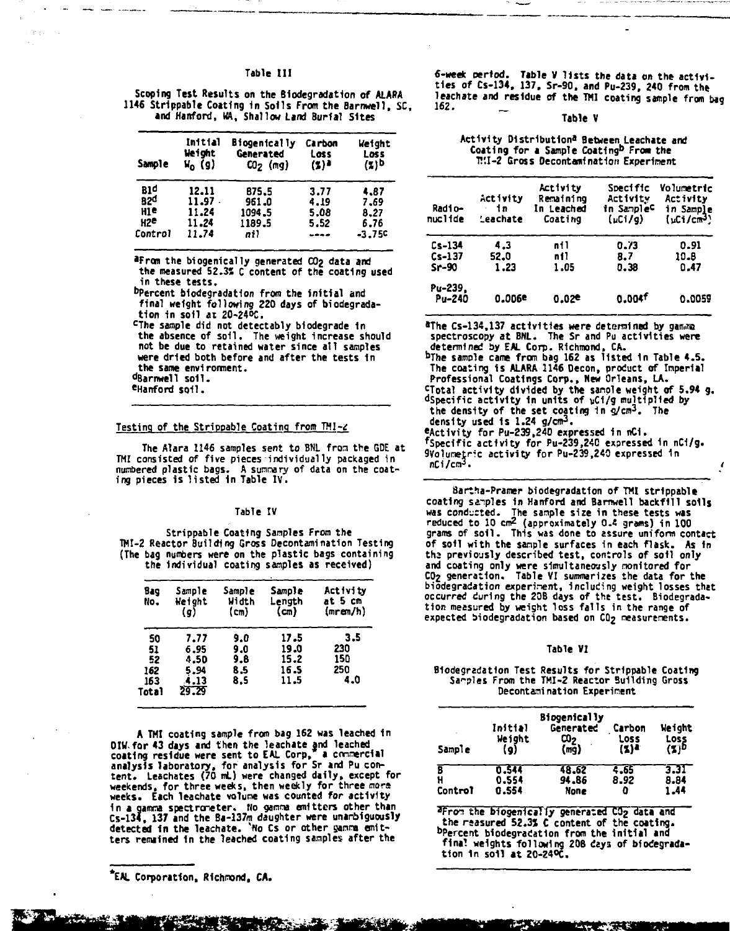#### Table III

**Scoping Test Results on the Biodegradation of ALARA 1146 Strippable Coating 1n Soils From the Barnwell, SC, and Hanford, HA, Shallow Land Burial Sites**

| Sample          | Initial<br>Height<br>$V_0$ (g) | <b>Biogenically</b><br>Generated<br>$CO2$ (mg) | Carbon<br>Loss<br>(%)* | Weight<br>Loss<br>(%) <sup>b</sup> |
|-----------------|--------------------------------|------------------------------------------------|------------------------|------------------------------------|
| 81 d            | 12.11                          | 875.5                                          | 3.77                   | 4.87                               |
| 82 <sup>d</sup> | $11.97$ .                      | 961.0                                          | 4.19                   | 7.69                               |
| нте             | 11.24                          | 1094.5                                         | 5.08                   | 8.27                               |
| H2C             | 11.24                          | 1189.5                                         | 5.52                   | 6.76                               |
| Control         | 11.74                          | ni)                                            | ----                   | $-3.75c$                           |

**•From the biogenically generated CO2 data and the measured 52.3" C content of the coating used in these tests.**

**<sup>D</sup>Percent biodegradation from the initial and final weight following 220 days of biodegradation in soil at 20-24°C.**

**c The sample did not detectably biodegrade in the absence of soil. The weight Increase should not be due to retained water since all samples were dried both before and after the tests 1n the same environment. °Barnwell soil.**

# **<sup>e</sup>Hanford soil.**

#### Testing of the Strippable Coating from TMI-2

**The Alara 1146 samples sent to BNL from the GDE at TMI consisted of five pieces individually packaged in numbered plastic bags. A sunnary of data on the coating pieces is listed in Table IV.**

#### **Table IV**

**Strippable Coating Samples From the TMI-2 Reactor Building Gross Decontamination Testing (The bag numbers were on the plastic bags containing the individual coating samples as received)**

| Bag<br>No.                            | Sample<br>Weight<br>(g)                       | <b>Sample</b><br>Width<br>(m)   | Sample<br>Lenath<br>(m)              | <b>Activity</b><br>at 5 cm<br>(mrem/h) |
|---------------------------------------|-----------------------------------------------|---------------------------------|--------------------------------------|----------------------------------------|
| 50<br>51<br>52<br>162<br>163<br>Total | 7.77<br>6.95<br>4.50<br>5.94<br>4.13<br>29.29 | 9.0<br>9.0<br>9.8<br>8.5<br>8.5 | 17.5<br>19.0<br>15.2<br>16.5<br>11.5 | 3.5<br>230<br>150<br>250<br>4.0        |

**A TMI coating sample from bag 162 was leached 1n OIW for 43 days and then the leachate and leached** coating residue were sent to EAL Corp," a commercial<br>analysis laboratory, for analysis for Sr and Pu con-<br>tent. Leachates (70 mL) were changed daily, except for<br>weekends, for three weeks, then weekly for three more **weeks. Each leachate volume was counted for activity 1n a gamma spectroneter. No ganna emitters other than Cs-134, 137 and the Ba-137m daughter were unambiguously detected In the leachate. 'No Cs or other ganra emitters remained In the leached coating samples after the**

**EAL Corporation, Richmond, CA.**

**6-week period. Table V lists the data on the activi-ties of Cs-134, 137, Sr-90. and Pu-239, 240 from the leachate and residue of the TMI coating sample from bag** 162.

#### **Table** V

# **Activity Distribution\* Between Leachate and Coating for a Sample Coat1ng<sup>b</sup> From the V.'.l-Z Gross Decontamination Experiment**

| Radio-<br>nuclide | Activity<br>in.<br>Leachate | Activity<br>Remaining<br>In Leached<br>Coating | Specific<br>Activity<br>in Sample <sup>c</sup><br>(uCi/g) | <b>Volumetric</b><br>Activity<br>in Sample<br>(uCi/cm <sup>3</sup> ) |
|-------------------|-----------------------------|------------------------------------------------|-----------------------------------------------------------|----------------------------------------------------------------------|
| $Cs-134$          | 4.3                         | ni1                                            | 0.73                                                      | 0.91                                                                 |
| $Cs-137$          | 52.0                        | nt1                                            | 8.7                                                       | 10.B                                                                 |
| $Sr-90$           | 1.23                        | 1.05                                           | 0.38                                                      | 0.47                                                                 |
| Pu-239.<br>Pu-240 | 0.006e                      | 0.02e                                          | 0.004f                                                    | 0.0059                                                               |

**•The Cs-134,137 activities were determined by g spectroscopy at BNL. The Sr and Pu activities were determined by EAL Corp. Richmond, CA. b The sample came from bag 162 as listed In Table 4.5.** The coating is ALARA 1146 Decon, product of Imperial<br>Professional Coatings Corp., New Orleans, LA.<br>Clotal activity divided by the sample weight of 5.94 g.<br>dSpecific activity in units of uCi/g multiplied by **the density of the set coating in g/cm<sup>3</sup> . The density used Is 1.24 g/cm<sup>3</sup> . ^Activity for Pu-239,240 expressed in nCI. Specific activity for Pu-239,240 expressed 1n nC1/g. 9Volunetric activity for Pu-239,240 expressed 1n nCi/cra3. t**

**Barthe-Pramer biodegradation of TMI strippable coating samples in Hanford and Barnwell backfill soils** was conducted. The sample size in these tests was<br>reduced to 10 cm<sup>2</sup> (approximately 0.4 grams) in 100<br>grams of soil. This was done to assure uniform conta<del>ct</del> **of soil with the sample surfaces in each flask. As in ths previously described test, controls of soil only and coating only were simultaneously nonitored for CO2 generation. Table VI summarizes the data for the biodegradation experiment, including weight losses that occurred during the 208 days of the test. Biodegrada-tion measured by weight loss falls in the range of expected biodegradation based on COj measurements.**

#### Table VI

#### **Biodegradation Test Results for Strippable Coating Samples From the TMI-2 Reactor Building Gross Decontami nation Experiment**

| Sample       | Initial<br>Weight<br>(g) | <b>Biogenically</b><br>Generated<br>ೲ<br>(mq) | Carbon<br><b>Loss</b><br>(7)4 | Weight<br>Loss<br>(Z)D |
|--------------|--------------------------|-----------------------------------------------|-------------------------------|------------------------|
| н<br>Control | 0.544<br>0.554<br>0.554  | 48.62<br>94.86<br>None                        | 4.65<br>8.92<br>o             | 3.31<br>8.84<br>1.44   |

**'Fron the biogenically generated CO2 dat\* and the rsasured 52.3S C content of the coating. <sup>D</sup>Percent biodegradation from the initial and final weights following 208 days of biodegrada-tion 1n soil at 20-24°C.**